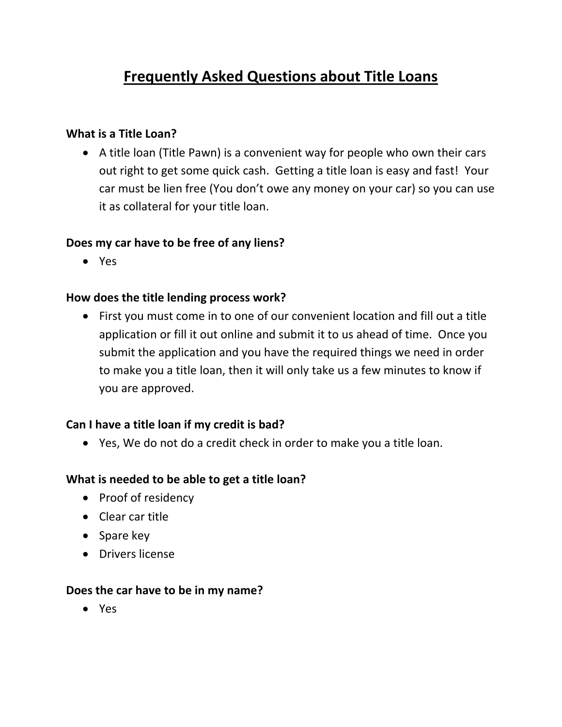# **Frequently Asked Questions about Title Loans**

# **What is a Title Loan?**

• A title loan (Title Pawn) is a convenient way for people who own their cars out right to get some quick cash. Getting a title loan is easy and fast! Your car must be lien free (You don't owe any money on your car) so you can use it as collateral for your title loan.

# **Does my car have to be free of any liens?**

• Yes

# **How does the title lending process work?**

• First you must come in to one of our convenient location and fill out a title application or fill it out online and submit it to us ahead of time. Once you submit the application and you have the required things we need in order to make you a title loan, then it will only take us a few minutes to know if you are approved.

# **Can I have a title loan if my credit is bad?**

• Yes, We do not do a credit check in order to make you a title loan.

#### **What is needed to be able to get a title loan?**

- Proof of residency
- Clear car title
- Spare key
- Drivers license

#### **Does the car have to be in my name?**

• Yes